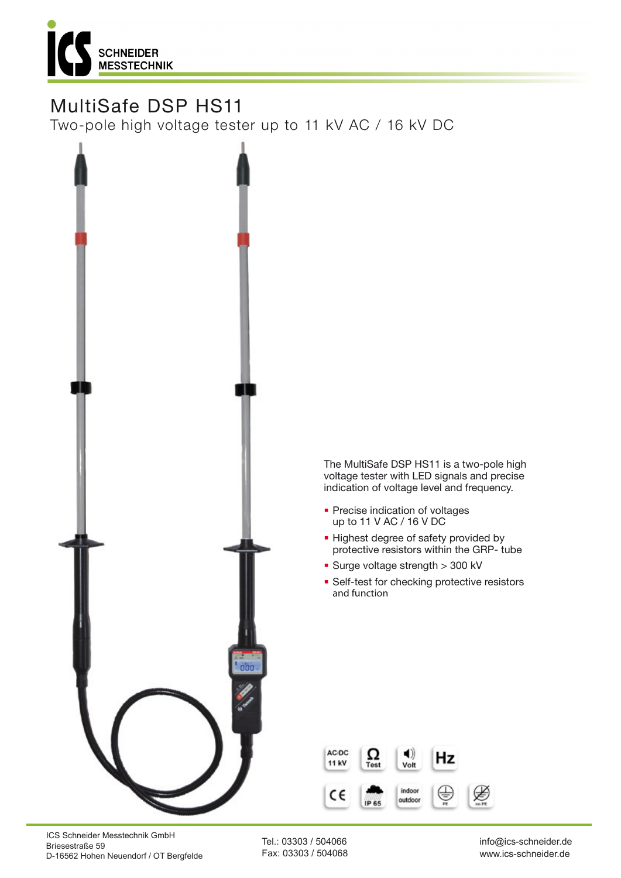

# MultiSafe DSP HS11

Two-pole high voltage tester up to 11 kV AC / 16 kV DC



The MultiSafe DSP HS11 is a two-pole high voltage tester with LED signals and precise indication of voltage level and frequency.

- **Precise indication of voltages** up to 11 V AC / 16 V DC
- **.** Highest degree of safety provided by protective resistors within the GRP- tube
- Surge voltage strength > 300 kV
- **· Self-test for checking protective resistors** and function



ICS Schneider Messtechnik GmbH Briesestraße 59 D-16562 Hohen Neuendorf / OT Bergfelde

Tel.: 03303 / 504066 Fax: 03303 / 504068

info@ics-schneider.de www.ics-schneider.de